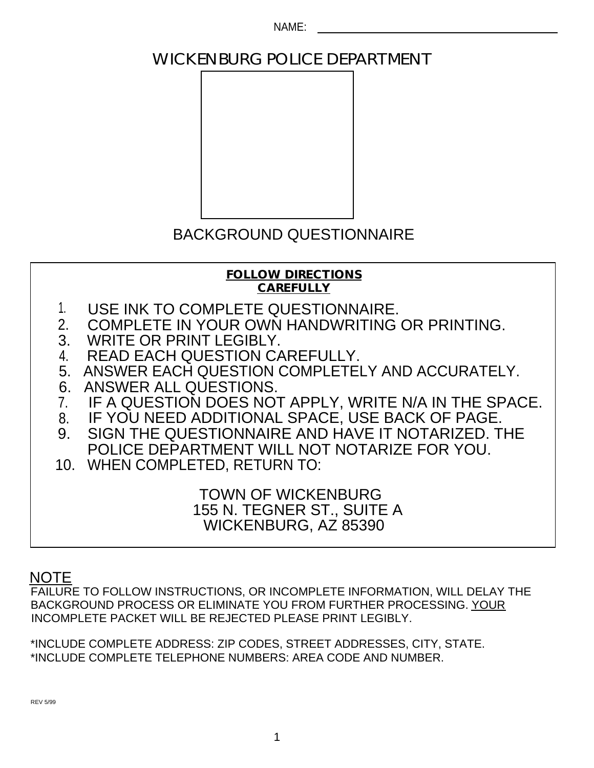NAME:

# WICKENBURG POLICE DEPARTMENT



# BACKGROUND QUESTIONNAIRE

**FOLLOW DIRECTIONS CAREFULLY**

- 1. USE INK TO COMPLETE QUESTIONNAIRE.
- 2. COMPLETE IN YOUR OWN HANDWRITING OR PRINTING.
- 3. WRITE OR PRINT LEGIBLY.
- 4. READ EACH QUESTION CAREFULLY.
- 5. ANSWER EACH QUESTION COMPLETELY AND ACCURATELY.
- 6. ANSWER ALL QUESTIONS.
- 7. IF A QUESTION DOES NOT APPLY, WRITE N/A IN THE SPACE.
- 8. IF YOU NEED ADDITIONAL SPACE, USE BACK OF PAGE.
- 9. SIGN THE QUESTIONNAIRE AND HAVE IT NOTARIZED. THE POLICE DEPARTMENT WILL NOT NOTARIZE FOR YOU.
- 10. WHEN COMPLETED, RETURN TO:

TOWN OF WICKENBURG 155 N. TEGNER ST., SUITE A WICKENBURG, AZ 85390

# **NOTE**

FAILURE TO FOLLOW INSTRUCTIONS, OR INCOMPLETE INFORMATION, WILL DELAY THE BACKGROUND PROCESS OR ELIMINATE YOU FROM FURTHER PROCESSING. YOUR INCOMPLETE PACKET WILL BE REJECTED PLEASE PRINT LEGIBLY.

\*INCLUDE COMPLETE ADDRESS: ZIP CODES, STREET ADDRESSES, CITY, STATE. \*INCLUDE COMPLETE TELEPHONE NUMBERS: AREA CODE AND NUMBER.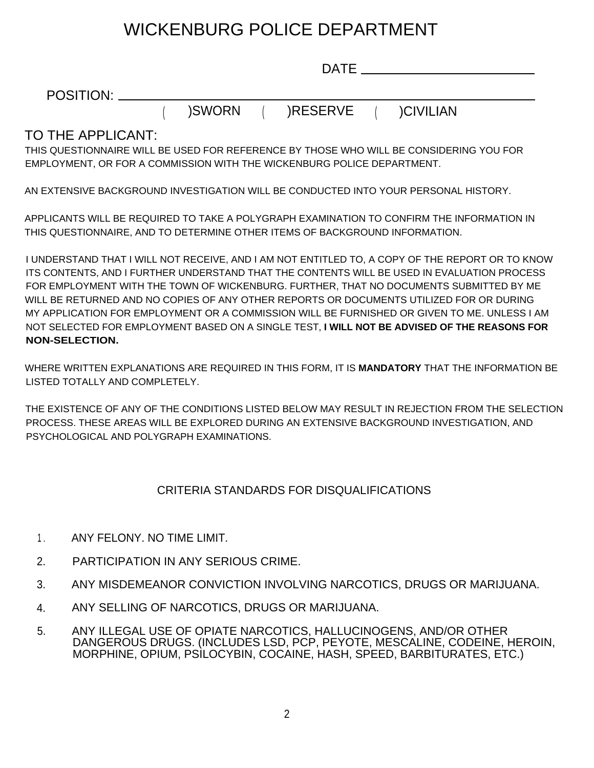# WICKENBURG POLICE DEPARTMENT

|                                                                             |        | <b>DATE</b> |                                                                                               |
|-----------------------------------------------------------------------------|--------|-------------|-----------------------------------------------------------------------------------------------|
| POSITION: _______                                                           |        |             |                                                                                               |
|                                                                             | )SWORN | )RESERVE    | )CIVILIAN                                                                                     |
| TO THE APPLICANT:                                                           |        |             |                                                                                               |
|                                                                             |        |             | THIS QUESTIONNAIRE WILL BE USED FOR REFERENCE BY THOSE WHO WILL BE CONSIDERING YOU FOR        |
| EMPLOYMENT, OR FOR A COMMISSION WITH THE WICKENBURG POLICE DEPARTMENT.      |        |             |                                                                                               |
|                                                                             |        |             | AN EXTENSIVE BACKGROUND INVESTIGATION WILL BE CONDUCTED INTO YOUR PERSONAL HISTORY.           |
|                                                                             |        |             | APPLICANTS WILL BE REQUIRED TO TAKE A POLYGRAPH EXAMINATION TO CONFIRM THE INFORMATION IN     |
| THIS QUESTIONNAIRE, AND TO DETERMINE OTHER ITEMS OF BACKGROUND INFORMATION. |        |             |                                                                                               |
|                                                                             |        |             | LUNDEDOTAND TUAT UAIUL NOT DEOEN/E. AND LAM NOT ENTITLED TO LA CODY OF TUE DEDODT OD TO IZNOM |

I UNDERSTAND THAT I WILL NOT RECEIVE, AND I AM NOT ENTITLED TO, A COPY OF THE REPORT OR TO KNOW ITS CONTENTS, AND I FURTHER UNDERSTAND THAT THE CONTENTS WILL BE USED IN EVALUATION PROCESS FOR EMPLOYMENT WITH THE TOWN OF WICKENBURG. FURTHER, THAT NO DOCUMENTS SUBMITTED BY ME WILL BE RETURNED AND NO COPIES OF ANY OTHER REPORTS OR DOCUMENTS UTILIZED FOR OR DURING MY APPLICATION FOR EMPLOYMENT OR A COMMISSION WILL BE FURNISHED OR GIVEN TO ME. UNLESS I AM NOT SELECTED FOR EMPLOYMENT BASED ON A SINGLE TEST, **I WILL NOT BE ADVISED OF THE REASONS FOR NON-SELECTION.**

WHERE WRITTEN EXPLANATIONS ARE REQUIRED IN THIS FORM, IT IS **MANDATORY** THAT THE INFORMATION BE LISTED TOTALLY AND COMPLETELY.

THE EXISTENCE OF ANY OF THE CONDITIONS LISTED BELOW MAY RESULT IN REJECTION FROM THE SELECTION PROCESS. THESE AREAS WILL BE EXPLORED DURING AN EXTENSIVE BACKGROUND INVESTIGATION, AND PSYCHOLOGICAL AND POLYGRAPH EXAMINATIONS.

## CRITERIA STANDARDS FOR DISQUALIFICATIONS

- 1 . ANY FELONY. NO TIME LIMIT.
- 2. PARTICIPATION IN ANY SERIOUS CRIME.
- 3. ANY MISDEMEANOR CONVICTION INVOLVING NARCOTICS, DRUGS OR MARIJUANA.
- 4. ANY SELLING OF NARCOTICS, DRUGS OR MARIJUANA.
- ANY ILLEGAL USE OF OPIATE NARCOTICS, HALLUCINOGENS, AND/OR OTHER DANGEROUS DRUGS. (INCLUDES LSD, PCP, PEYOTE, MESCALINE, CODEINE, HEROIN, MORPHINE, OPIUM, PSILOCYBIN, COCAINE, HASH, SPEED, BARBITURATES, ETC.) 5.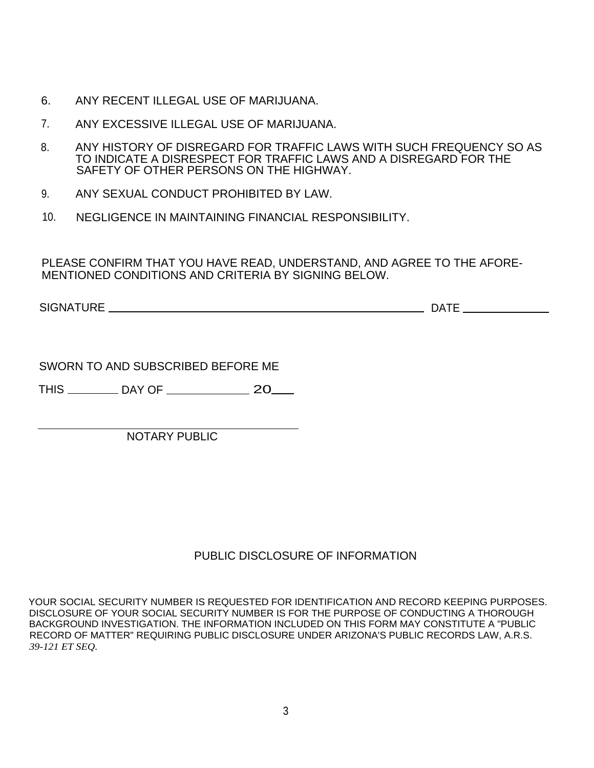- 6. ANY RECENT ILLEGAL USE OF MARIJUANA.
- 7. ANY EXCESSIVE ILLEGAL USE OF MARIJUANA.
- 8. ANY HISTORY OF DISREGARD FOR TRAFFIC LAWS WITH SUCH FREQUENCY SO AS TO INDICATE A DISRESPECT FOR TRAFFIC LAWS AND A DISREGARD FOR THE SAFETY OF OTHER PERSONS ON THE HIGHWAY.
- 9. ANY SEXUAL CONDUCT PROHIBITED BY LAW.
- 10. NEGLIGENCE IN MAINTAINING FINANCIAL RESPONSIBILITY.

PLEASE CONFIRM THAT YOU HAVE READ, UNDERSTAND, AND AGREE TO THE AFORE-MENTIONED CONDITIONS AND CRITERIA BY SIGNING BELOW.

SIGNATURE DATE

SWORN TO AND SUBSCRIBED BEFORE ME

THIS \_\_\_\_\_\_\_\_\_\_ DAY OF \_\_\_\_\_\_\_\_\_\_\_\_\_\_\_\_ 20\_\_\_\_

NOTARY PUBLIC

## PUBLIC DISCLOSURE OF INFORMATION

YOUR SOCIAL SECURITY NUMBER IS REQUESTED FOR IDENTIFICATION AND RECORD KEEPING PURPOSES. DISCLOSURE OF YOUR SOCIAL SECURITY NUMBER IS FOR THE PURPOSE OF CONDUCTING A THOROUGH BACKGROUND INVESTIGATION. THE INFORMATION INCLUDED ON THIS FORM MAY CONSTITUTE A "PUBLIC RECORD OF MATTER" REQUIRING PUBLIC DISCLOSURE UNDER ARIZONA'S PUBLIC RECORDS LAW, A.R.S. *39-121 ET SEQ.*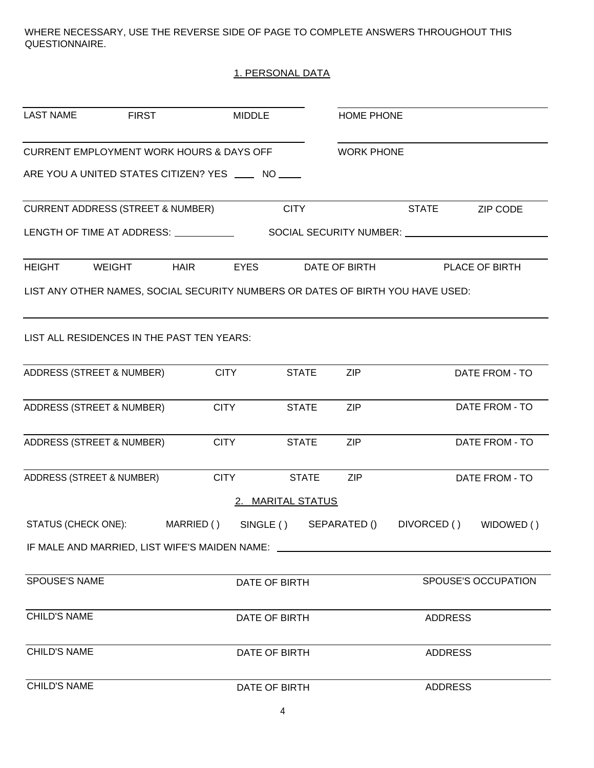WHERE NECESSARY, USE THE REVERSE SIDE OF PAGE TO COMPLETE ANSWERS THROUGHOUT THIS QUESTIONNAIRE.

## 1. PERSONAL DATA

| <b>LAST NAME</b>          | <b>FIRST</b>                                                                     | <b>MIDDLE</b> |                          | HOME PHONE        |                                             |                     |
|---------------------------|----------------------------------------------------------------------------------|---------------|--------------------------|-------------------|---------------------------------------------|---------------------|
|                           | <b>CURRENT EMPLOYMENT WORK HOURS &amp; DAYS OFF</b>                              |               |                          | <b>WORK PHONE</b> |                                             |                     |
|                           | ARE YOU A UNITED STATES CITIZEN? YES ____ NO ____                                |               |                          |                   |                                             |                     |
|                           | <b>CURRENT ADDRESS (STREET &amp; NUMBER)</b>                                     |               | <b>CITY</b>              |                   | <b>STATE</b>                                | <b>ZIP CODE</b>     |
|                           | LENGTH OF TIME AT ADDRESS: ___________                                           |               |                          |                   | SOCIAL SECURITY NUMBER: ___________________ |                     |
| <b>HEIGHT</b>             | <b>WEIGHT</b><br><b>HAIR</b>                                                     | <b>EYES</b>   |                          | DATE OF BIRTH     |                                             | PLACE OF BIRTH      |
|                           | LIST ANY OTHER NAMES, SOCIAL SECURITY NUMBERS OR DATES OF BIRTH YOU HAVE USED:   |               |                          |                   |                                             |                     |
|                           | LIST ALL RESIDENCES IN THE PAST TEN YEARS:                                       |               |                          |                   |                                             |                     |
| ADDRESS (STREET & NUMBER) |                                                                                  | <b>CITY</b>   | <b>STATE</b>             | <b>ZIP</b>        |                                             | DATE FROM - TO      |
| ADDRESS (STREET & NUMBER) |                                                                                  | <b>CITY</b>   | <b>STATE</b>             | <b>ZIP</b>        |                                             | DATE FROM - TO      |
| ADDRESS (STREET & NUMBER) |                                                                                  | <b>CITY</b>   | <b>STATE</b>             | <b>ZIP</b>        |                                             | DATE FROM - TO      |
| ADDRESS (STREET & NUMBER) |                                                                                  | <b>CITY</b>   | <b>STATE</b>             | <b>ZIP</b>        |                                             | DATE FROM - TO      |
|                           |                                                                                  |               | 2. MARITAL STATUS        |                   |                                             |                     |
| STATUS (CHECK ONE):       |                                                                                  | MARRIED ()    | SINGLE ( ) SEPARATED ( ) |                   | DIVORCED ()                                 | WIDOWED ()          |
|                           | IF MALE AND MARRIED, LIST WIFE'S MAIDEN NAME: __________________________________ |               |                          |                   |                                             |                     |
| SPOUSE'S NAME             |                                                                                  |               | DATE OF BIRTH            |                   |                                             | SPOUSE'S OCCUPATION |
| <b>CHILD'S NAME</b>       |                                                                                  |               | DATE OF BIRTH            |                   | <b>ADDRESS</b>                              |                     |
| <b>CHILD'S NAME</b>       |                                                                                  |               | DATE OF BIRTH            |                   | <b>ADDRESS</b>                              |                     |
| <b>CHILD'S NAME</b>       |                                                                                  |               | DATE OF BIRTH            |                   | <b>ADDRESS</b>                              |                     |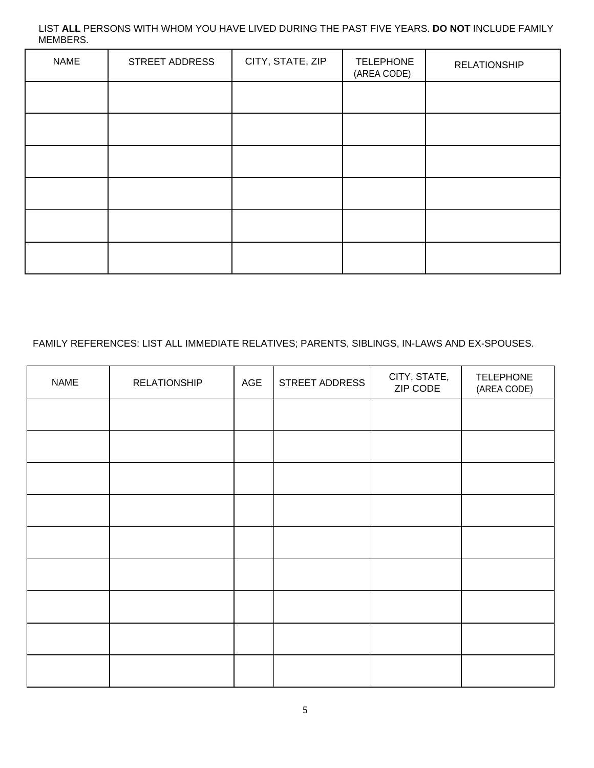## LIST **ALL** PERSONS WITH WHOM YOU HAVE LIVED DURING THE PAST FIVE YEARS. **DO NOT** INCLUDE FAMILY MEMBERS.

| <b>NAME</b> | STREET ADDRESS | CITY, STATE, ZIP | <b>TELEPHONE</b><br>(AREA CODE) | <b>RELATIONSHIP</b> |
|-------------|----------------|------------------|---------------------------------|---------------------|
|             |                |                  |                                 |                     |
|             |                |                  |                                 |                     |
|             |                |                  |                                 |                     |
|             |                |                  |                                 |                     |
|             |                |                  |                                 |                     |
|             |                |                  |                                 |                     |

## FAMILY REFERENCES: LIST ALL IMMEDIATE RELATIVES; PARENTS, SIBLINGS, IN-LAWS AND EX-SPOUSES.

| <b>NAME</b> | <b>RELATIONSHIP</b> | AGE | STREET ADDRESS | CITY, STATE,<br>ZIP CODE | <b>TELEPHONE</b><br>(AREA CODE) |
|-------------|---------------------|-----|----------------|--------------------------|---------------------------------|
|             |                     |     |                |                          |                                 |
|             |                     |     |                |                          |                                 |
|             |                     |     |                |                          |                                 |
|             |                     |     |                |                          |                                 |
|             |                     |     |                |                          |                                 |
|             |                     |     |                |                          |                                 |
|             |                     |     |                |                          |                                 |
|             |                     |     |                |                          |                                 |
|             |                     |     |                |                          |                                 |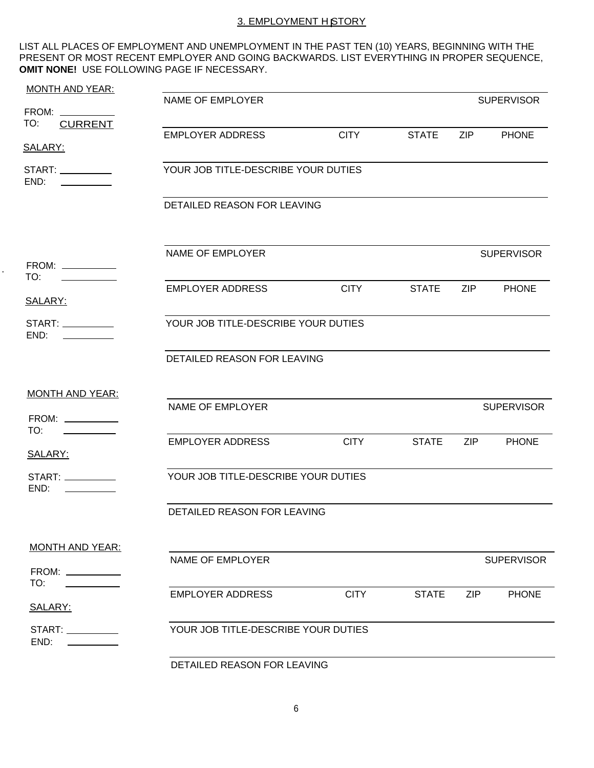## 3. EMPLOYMENT H STORY

LIST ALL PLACES OF EMPLOYMENT AND UNEMPLOYMENT IN THE PAST TEN (10) YEARS, BEGINNING WITH THE PRESENT OR MOST RECENT EMPLOYER AND GOING BACKWARDS. LIST EVERYTHING IN PROPER SEQUENCE, **OMIT NONE!** USE FOLLOWING PAGE IF NECESSARY.

| <b>MONTH AND YEAR:</b>                    |                                     |             |              |            |                   |
|-------------------------------------------|-------------------------------------|-------------|--------------|------------|-------------------|
| FROM: __________                          | NAME OF EMPLOYER                    |             |              |            | <b>SUPERVISOR</b> |
| TO:<br><b>CURRENT</b>                     |                                     |             |              |            |                   |
| SALARY:                                   | <b>EMPLOYER ADDRESS</b>             | <b>CITY</b> | <b>STATE</b> | <b>ZIP</b> | <b>PHONE</b>      |
|                                           |                                     |             |              |            |                   |
| END:                                      | YOUR JOB TITLE-DESCRIBE YOUR DUTIES |             |              |            |                   |
|                                           | DETAILED REASON FOR LEAVING         |             |              |            |                   |
| FROM: __________                          | NAME OF EMPLOYER                    |             |              |            | <b>SUPERVISOR</b> |
| TO:                                       | <b>EMPLOYER ADDRESS</b>             | <b>CITY</b> | STATE ZIP    |            | <b>PHONE</b>      |
| SALARY:<br>START:                         | YOUR JOB TITLE-DESCRIBE YOUR DUTIES |             |              |            |                   |
| END:                                      |                                     |             |              |            |                   |
|                                           | DETAILED REASON FOR LEAVING         |             |              |            |                   |
|                                           |                                     |             |              |            |                   |
| <b>MONTH AND YEAR:</b>                    | NAME OF EMPLOYER                    |             |              |            | <b>SUPERVISOR</b> |
| FROM: ___________<br>TO:                  |                                     |             |              |            |                   |
| SALARY:                                   | <b>EMPLOYER ADDRESS</b>             | <b>CITY</b> | <b>STATE</b> | ZIP 7      | <b>PHONE</b>      |
| END:                                      | YOUR JOB TITLE-DESCRIBE YOUR DUTIES |             |              |            |                   |
|                                           | DETAILED REASON FOR LEAVING         |             |              |            |                   |
| <b>MONTH AND YEAR:</b>                    |                                     |             |              |            |                   |
| FROM: ___________<br>TO:                  | NAME OF EMPLOYER                    |             |              |            | <b>SUPERVISOR</b> |
| SALARY:                                   | <b>EMPLOYER ADDRESS</b>             | <b>CITY</b> | <b>STATE</b> | ZIP        | <b>PHONE</b>      |
| END:<br>and the control of the control of | YOUR JOB TITLE-DESCRIBE YOUR DUTIES |             |              |            |                   |
|                                           |                                     |             |              |            |                   |

DETAILED REASON FOR LEAVING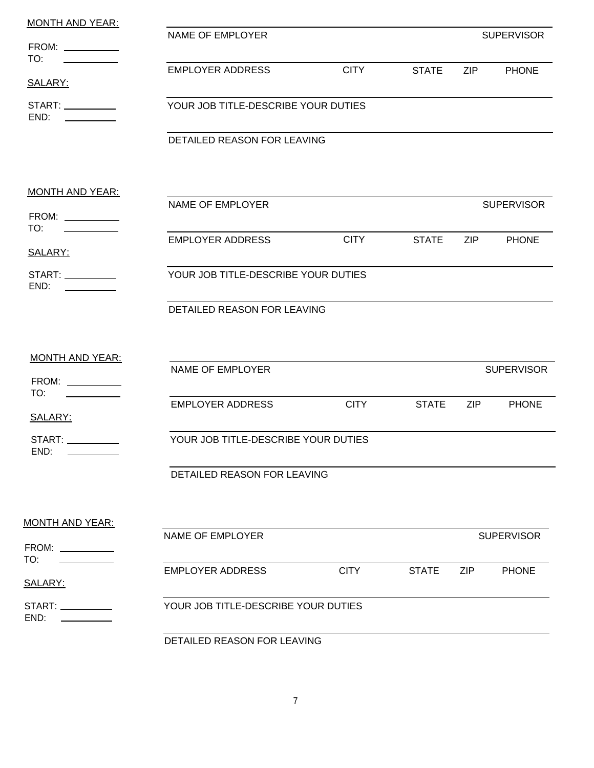| <b>MONTH AND YEAR:</b>                                                      |                                     |             |              |            |                   |
|-----------------------------------------------------------------------------|-------------------------------------|-------------|--------------|------------|-------------------|
| FROM: ___________                                                           | NAME OF EMPLOYER                    |             |              |            | <b>SUPERVISOR</b> |
| TO:                                                                         |                                     | <b>CITY</b> |              |            |                   |
| SALARY:                                                                     | <b>EMPLOYER ADDRESS</b>             |             | <b>STATE</b> | <b>ZIP</b> | <b>PHONE</b>      |
| END:<br>the property of the control of the                                  | YOUR JOB TITLE-DESCRIBE YOUR DUTIES |             |              |            |                   |
|                                                                             | DETAILED REASON FOR LEAVING         |             |              |            |                   |
| <u>MONTH AND YEAR:</u>                                                      |                                     |             |              |            |                   |
| FROM:                                                                       | NAME OF EMPLOYER                    |             |              |            | <b>SUPERVISOR</b> |
| TO:<br>SALARY:                                                              | <b>EMPLOYER ADDRESS</b>             | <b>CITY</b> | <b>STATE</b> | ZIP        | <b>PHONE</b>      |
| END:                                                                        | YOUR JOB TITLE-DESCRIBE YOUR DUTIES |             |              |            |                   |
|                                                                             | DETAILED REASON FOR LEAVING         |             |              |            |                   |
| <b>MONTH AND YEAR:</b>                                                      |                                     |             |              |            |                   |
| FROM: ___________<br>TO:<br><u> 1990 - Johann Barnett, fransk politiker</u> | NAME OF EMPLOYER                    |             |              |            | <b>SUPERVISOR</b> |
| SALARY:                                                                     | <b>EMPLOYER ADDRESS</b>             | <b>CITY</b> | <b>STATE</b> | ZIP        | <b>PHONE</b>      |
| START:<br>END:                                                              | YOUR JOB TITLE-DESCRIBE YOUR DUTIES |             |              |            |                   |
|                                                                             | DETAILED REASON FOR LEAVING         |             |              |            |                   |
| <b>MONTH AND YEAR:</b>                                                      |                                     |             |              |            |                   |
| FROM: ___________<br>TO:                                                    | <b>NAME OF EMPLOYER</b>             |             |              |            | <b>SUPERVISOR</b> |
| SALARY:                                                                     | <b>EMPLOYER ADDRESS</b>             | <b>CITY</b> | <b>STATE</b> | <b>ZIP</b> | <b>PHONE</b>      |
| $START: \_\_\_\_\_\_\_\_\_\_\_\_\_\_\_$<br>END:                             | YOUR JOB TITLE-DESCRIBE YOUR DUTIES |             |              |            |                   |
|                                                                             | DETAILED REASON FOR LEAVING         |             |              |            |                   |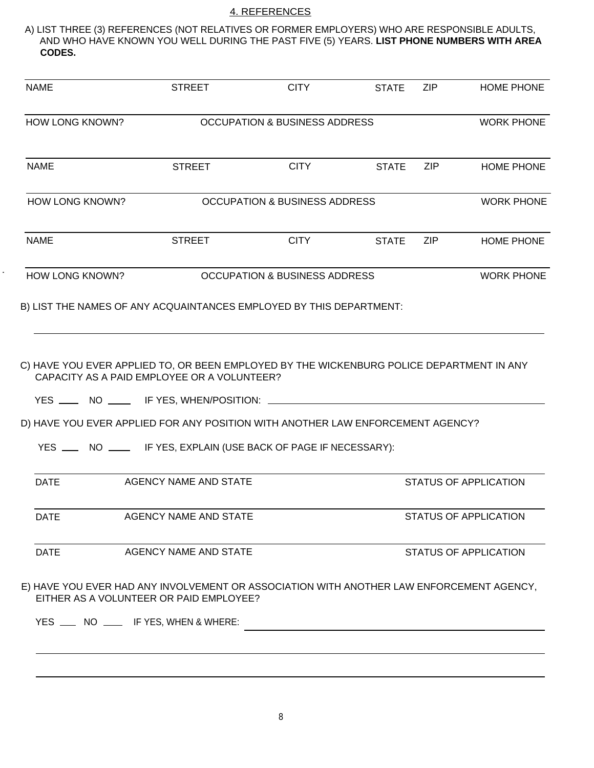## 4. REFERENCES

A) LIST THREE (3) REFERENCES (NOT RELATIVES OR FORMER EMPLOYERS) WHO ARE RESPONSIBLE ADULTS, AND WHO HAVE KNOWN YOU WELL DURING THE PAST FIVE (5) YEARS. **LIST PHONE NUMBERS WITH AREA CODES.**

| <b>NAME</b>            | <b>STREET</b>                                                                                                                                                                                                               |                                          | <b>CITY</b> | <b>STATE</b> | ZIP        | <b>HOME PHONE</b>            |
|------------------------|-----------------------------------------------------------------------------------------------------------------------------------------------------------------------------------------------------------------------------|------------------------------------------|-------------|--------------|------------|------------------------------|
| <b>HOW LONG KNOWN?</b> |                                                                                                                                                                                                                             | <b>OCCUPATION &amp; BUSINESS ADDRESS</b> |             |              |            | <b>WORK PHONE</b>            |
| <b>NAME</b>            | <b>STREET</b>                                                                                                                                                                                                               |                                          | <b>CITY</b> | <b>STATE</b> | ZIP        | <b>HOME PHONE</b>            |
| <b>HOW LONG KNOWN?</b> |                                                                                                                                                                                                                             | <b>OCCUPATION &amp; BUSINESS ADDRESS</b> |             |              |            | <b>WORK PHONE</b>            |
| <b>NAME</b>            | <b>STREET</b>                                                                                                                                                                                                               |                                          | <b>CITY</b> | <b>STATE</b> | <b>ZIP</b> | <b>HOME PHONE</b>            |
| <b>HOW LONG KNOWN?</b> |                                                                                                                                                                                                                             | <b>OCCUPATION &amp; BUSINESS ADDRESS</b> |             |              |            | <b>WORK PHONE</b>            |
|                        | B) LIST THE NAMES OF ANY ACQUAINTANCES EMPLOYED BY THIS DEPARTMENT:                                                                                                                                                         |                                          |             |              |            |                              |
|                        | C) HAVE YOU EVER APPLIED TO, OR BEEN EMPLOYED BY THE WICKENBURG POLICE DEPARTMENT IN ANY<br>CAPACITY AS A PAID EMPLOYEE OR A VOLUNTEER?<br>YES _______ NO _______ IF YES, WHEN/POSITION: __________________________________ |                                          |             |              |            |                              |
|                        | D) HAVE YOU EVER APPLIED FOR ANY POSITION WITH ANOTHER LAW ENFORCEMENT AGENCY?<br>YES _____ NO ______ IF YES, EXPLAIN (USE BACK OF PAGE IF NECESSARY):                                                                      |                                          |             |              |            |                              |
| <b>DATE</b>            | AGENCY NAME AND STATE                                                                                                                                                                                                       |                                          |             |              |            | <b>STATUS OF APPLICATION</b> |
| <b>DATE</b>            | AGENCY NAME AND STATE                                                                                                                                                                                                       |                                          |             |              |            | <b>STATUS OF APPLICATION</b> |
| <b>DATE</b>            | <b>AGENCY NAME AND STATE</b>                                                                                                                                                                                                |                                          |             |              |            | <b>STATUS OF APPLICATION</b> |
|                        | E) HAVE YOU EVER HAD ANY INVOLVEMENT OR ASSOCIATION WITH ANOTHER LAW ENFORCEMENT AGENCY,<br>EITHER AS A VOLUNTEER OR PAID EMPLOYEE?                                                                                         |                                          |             |              |            |                              |
|                        | YES ___ NO ___ IF YES, WHEN & WHERE:                                                                                                                                                                                        |                                          |             |              |            |                              |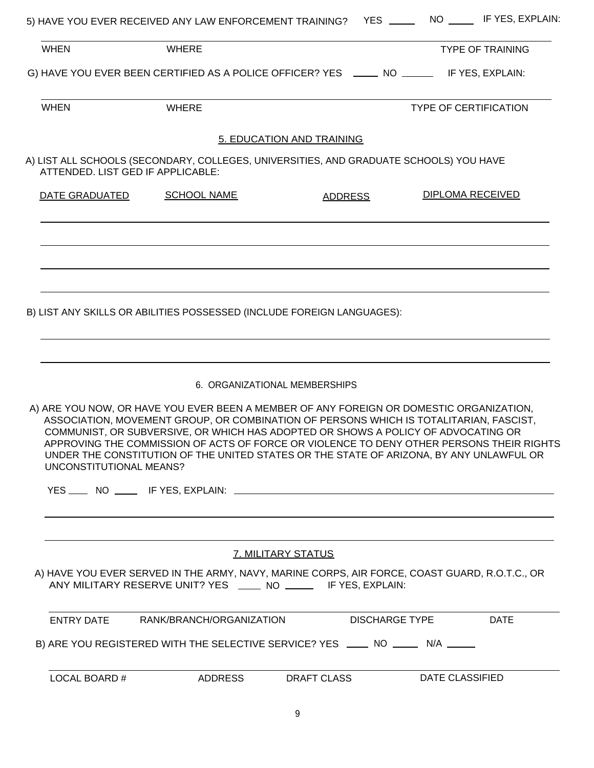|                         | 5) HAVE YOU EVER RECEIVED ANY LAW ENFORCEMENT TRAINING? YES ____                                                                                                                                                                                                                                                                                                  |                           | NO IF YES, EXPLAIN:                                                                      |
|-------------------------|-------------------------------------------------------------------------------------------------------------------------------------------------------------------------------------------------------------------------------------------------------------------------------------------------------------------------------------------------------------------|---------------------------|------------------------------------------------------------------------------------------|
| <b>WHEN</b>             | <b>WHERE</b>                                                                                                                                                                                                                                                                                                                                                      |                           | <b>TYPE OF TRAINING</b>                                                                  |
|                         | G) HAVE YOU EVER BEEN CERTIFIED AS A POLICE OFFICER? YES _____ NO ______ IF YES, EXPLAIN:                                                                                                                                                                                                                                                                         |                           |                                                                                          |
| <b>WHEN</b>             | <b>WHERE</b>                                                                                                                                                                                                                                                                                                                                                      |                           | <b>TYPE OF CERTIFICATION</b>                                                             |
|                         |                                                                                                                                                                                                                                                                                                                                                                   | 5. EDUCATION AND TRAINING |                                                                                          |
|                         | A) LIST ALL SCHOOLS (SECONDARY, COLLEGES, UNIVERSITIES, AND GRADUATE SCHOOLS) YOU HAVE<br>ATTENDED. LIST GED IF APPLICABLE:                                                                                                                                                                                                                                       |                           |                                                                                          |
| DATE GRADUATED          | <b>SCHOOL NAME</b>                                                                                                                                                                                                                                                                                                                                                | <b>ADDRESS</b>            | <b>DIPLOMA RECEIVED</b>                                                                  |
|                         |                                                                                                                                                                                                                                                                                                                                                                   |                           |                                                                                          |
|                         | B) LIST ANY SKILLS OR ABILITIES POSSESSED (INCLUDE FOREIGN LANGUAGES):                                                                                                                                                                                                                                                                                            |                           |                                                                                          |
|                         | 6. ORGANIZATIONAL MEMBERSHIPS                                                                                                                                                                                                                                                                                                                                     |                           |                                                                                          |
| UNCONSTITUTIONAL MEANS? | A) ARE YOU NOW, OR HAVE YOU EVER BEEN A MEMBER OF ANY FOREIGN OR DOMESTIC ORGANIZATION,<br>ASSOCIATION, MOVEMENT GROUP, OR COMBINATION OF PERSONS WHICH IS TOTALITARIAN, FASCIST,<br>COMMUNIST, OR SUBVERSIVE, OR WHICH HAS ADOPTED OR SHOWS A POLICY OF ADVOCATING OR<br>UNDER THE CONSTITUTION OF THE UNITED STATES OR THE STATE OF ARIZONA, BY ANY UNLAWFUL OR |                           | APPROVING THE COMMISSION OF ACTS OF FORCE OR VIOLENCE TO DENY OTHER PERSONS THEIR RIGHTS |
|                         |                                                                                                                                                                                                                                                                                                                                                                   |                           |                                                                                          |
|                         |                                                                                                                                                                                                                                                                                                                                                                   | 7. MILITARY STATUS        |                                                                                          |
|                         | A) HAVE YOU EVER SERVED IN THE ARMY, NAVY, MARINE CORPS, AIR FORCE, COAST GUARD, R.O.T.C., OR<br>ANY MILITARY RESERVE UNIT? YES _____ NO _______ IF YES, EXPLAIN:                                                                                                                                                                                                 |                           |                                                                                          |
| ENTRY DATE              | RANK/BRANCH/ORGANIZATION                                                                                                                                                                                                                                                                                                                                          |                           | <b>DISCHARGE TYPE</b><br><b>DATE</b>                                                     |
|                         | B) ARE YOU REGISTERED WITH THE SELECTIVE SERVICE? YES _____ NO _____ N/A _____                                                                                                                                                                                                                                                                                    |                           |                                                                                          |
| LOCAL BOARD #           | ADDRESS                                                                                                                                                                                                                                                                                                                                                           | DRAFT CLASS               | DATE CLASSIFIED                                                                          |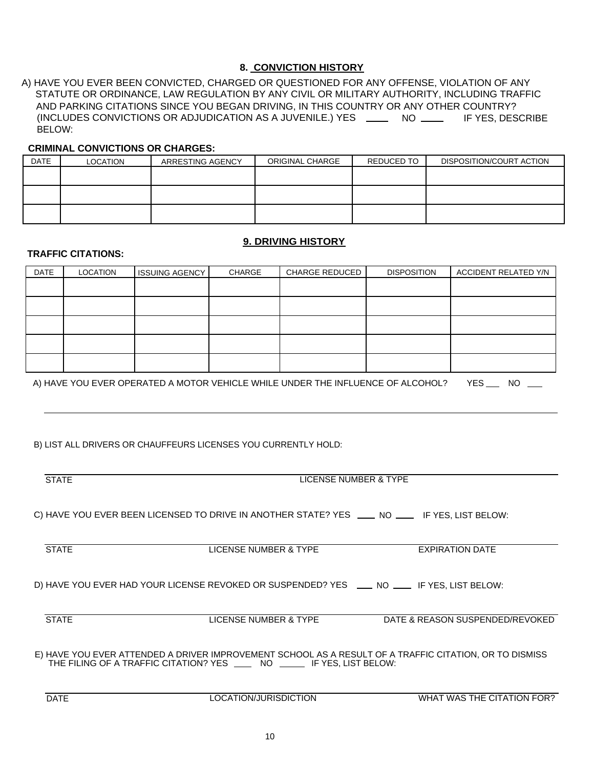## **8. CONVICTION HISTORY**

A) HAVE YOU EVER BEEN CONVICTED, CHARGED OR QUESTIONED FOR ANY OFFENSE, VIOLATION OF ANY STATUTE OR ORDINANCE, LAW REGULATION BY ANY CIVIL OR MILITARY AUTHORITY, INCLUDING TRAFFIC AND PARKING CITATIONS SINCE YOU BEGAN DRIVING, IN THIS COUNTRY OR ANY OTHER COUNTRY? (INCLUDES CONVICTIONS OR ADJUDICATION AS A JUVENILE.) YES \_\_\_\_ NO \_\_\_\_ IF YES, DESCRIBE BELOW:

#### **CRIMINAL CONVICTIONS OR CHARGES:**

| <b>DATE</b> | LOCATION | ARRESTING AGENCY | ORIGINAL CHARGE | REDUCED TO | DISPOSITION/COURT ACTION |
|-------------|----------|------------------|-----------------|------------|--------------------------|
|             |          |                  |                 |            |                          |
|             |          |                  |                 |            |                          |
|             |          |                  |                 |            |                          |
|             |          |                  |                 |            |                          |
|             |          |                  |                 |            |                          |
|             |          |                  |                 |            |                          |

### **9. DRIVING HISTORY**

#### **TRAFFIC CITATIONS:**

| <b>DATE</b> | LOCATION | <b>ISSUING AGENCY</b> | CHARGE | <b>CHARGE REDUCED</b> | <b>DISPOSITION</b> | <b>ACCIDENT RELATED Y/N</b> |
|-------------|----------|-----------------------|--------|-----------------------|--------------------|-----------------------------|
|             |          |                       |        |                       |                    |                             |
|             |          |                       |        |                       |                    |                             |
|             |          |                       |        |                       |                    |                             |
|             |          |                       |        |                       |                    |                             |
|             |          |                       |        |                       |                    |                             |

A) HAVE YOU EVER OPERATED A MOTOR VEHICLE WHILE UNDER THE INFLUENCE OF ALCOHOL? YES \_\_\_ NO \_\_\_

B) LIST ALL DRIVERS OR CHAUFFEURS LICENSES YOU CURRENTLY HOLD:

| <b>STATE</b>                                                                                                                                                                      | LICENSE NUMBER & TYPE                                                                          |                                 |  |  |  |  |  |  |
|-----------------------------------------------------------------------------------------------------------------------------------------------------------------------------------|------------------------------------------------------------------------------------------------|---------------------------------|--|--|--|--|--|--|
|                                                                                                                                                                                   | C) HAVE YOU EVER BEEN LICENSED TO DRIVE IN ANOTHER STATE? YES ____ NO ____ IF YES, LIST BELOW: |                                 |  |  |  |  |  |  |
| <b>STATE</b>                                                                                                                                                                      | LICENSE NUMBER & TYPE                                                                          | <b>EXPIRATION DATE</b>          |  |  |  |  |  |  |
|                                                                                                                                                                                   | D) HAVE YOU EVER HAD YOUR LICENSE REVOKED OR SUSPENDED? YES ___ NO ___ IF YES, LIST BELOW:     |                                 |  |  |  |  |  |  |
| <b>STATE</b>                                                                                                                                                                      | LICENSE NUMBER & TYPE                                                                          | DATE & REASON SUSPENDED/REVOKED |  |  |  |  |  |  |
| E) HAVE YOU EVER ATTENDED A DRIVER IMPROVEMENT SCHOOL AS A RESULT OF A TRAFFIC CITATION, OR TO DISMISS<br>THE FILING OF A TRAFFIC CITATION? YES ____ NO _____ IF YES, LIST BELOW: |                                                                                                |                                 |  |  |  |  |  |  |
| <b>DATE</b>                                                                                                                                                                       | LOCATION/JURISDICTION                                                                          | WHAT WAS THE CITATION FOR?      |  |  |  |  |  |  |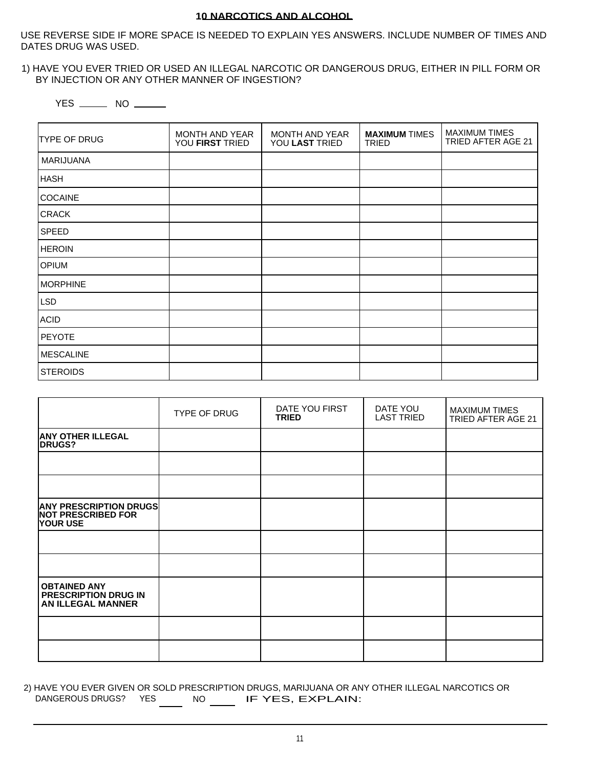#### **10 NARCOTICS AND ALCOHOL**

USE REVERSE SIDE IF MORE SPACE IS NEEDED TO EXPLAIN YES ANSWERS. INCLUDE NUMBER OF TIMES AND DATES DRUG WAS USED.

#### 1) HAVE YOU EVER TRIED OR USED AN ILLEGAL NARCOTIC OR DANGEROUS DRUG, EITHER IN PILL FORM OR BY INJECTION OR ANY OTHER MANNER OF INGESTION?

YES \_\_\_\_\_\_\_ NO \_\_\_\_\_\_

| <b>TYPE OF DRUG</b> | MONTH AND YEAR<br>YOU FIRST TRIED | MONTH AND YEAR<br>YOU LAST TRIED | <b>MAXIMUM TIMES</b><br>TRIED | <b>MAXIMUM TIMES</b><br>TRIED AFTER AGE 21 |
|---------------------|-----------------------------------|----------------------------------|-------------------------------|--------------------------------------------|
| MARIJUANA           |                                   |                                  |                               |                                            |
| <b>HASH</b>         |                                   |                                  |                               |                                            |
| <b>COCAINE</b>      |                                   |                                  |                               |                                            |
| <b>CRACK</b>        |                                   |                                  |                               |                                            |
| <b>SPEED</b>        |                                   |                                  |                               |                                            |
| <b>HEROIN</b>       |                                   |                                  |                               |                                            |
| <b>OPIUM</b>        |                                   |                                  |                               |                                            |
| MORPHINE            |                                   |                                  |                               |                                            |
| <b>LSD</b>          |                                   |                                  |                               |                                            |
| <b>ACID</b>         |                                   |                                  |                               |                                            |
| PEYOTE              |                                   |                                  |                               |                                            |
| <b>MESCALINE</b>    |                                   |                                  |                               |                                            |
| <b>STEROIDS</b>     |                                   |                                  |                               |                                            |

|                                                                               | TYPE OF DRUG | DATE YOU FIRST<br><b>TRIED</b> | DATE YOU<br><b>LAST TRIED</b> | <b>MAXIMUM TIMES</b><br>TRIED AFTER AGE 21 |
|-------------------------------------------------------------------------------|--------------|--------------------------------|-------------------------------|--------------------------------------------|
| <b>ANY OTHER ILLEGAL</b><br><b>DRUGS?</b>                                     |              |                                |                               |                                            |
|                                                                               |              |                                |                               |                                            |
|                                                                               |              |                                |                               |                                            |
| <b>ANY PRESCRIPTION DRUGS</b><br><b>NOT PRESCRIBED FOR</b><br><b>YOUR USE</b> |              |                                |                               |                                            |
|                                                                               |              |                                |                               |                                            |
|                                                                               |              |                                |                               |                                            |
| <b>OBTAINED ANY</b><br><b>PRESCRIPTION DRUG IN</b><br>AN ILLEGAL MANNER       |              |                                |                               |                                            |
|                                                                               |              |                                |                               |                                            |
|                                                                               |              |                                |                               |                                            |

2) HAVE YOU EVER GIVEN OR SOLD PRESCRIPTION DRUGS, MARIJUANA OR ANY OTHER ILLEGAL NARCOTICS OR DANGEROUS DRUGS? YES  $\_\_$  NO  $\_\_$  IF YES, EXPLAIN: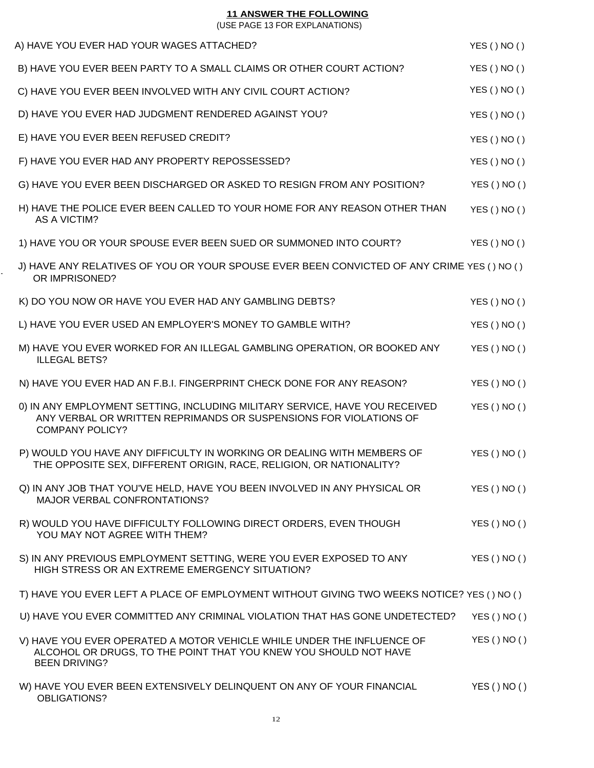#### **11 ANSWER THE FOLLOWING**

(USE PAGE 13 FOR EXPLANATIONS)

| A) HAVE YOU EVER HAD YOUR WAGES ATTACHED?                                                                                                                                  | YES()NO() |
|----------------------------------------------------------------------------------------------------------------------------------------------------------------------------|-----------|
| B) HAVE YOU EVER BEEN PARTY TO A SMALL CLAIMS OR OTHER COURT ACTION?                                                                                                       | YES()NO() |
| C) HAVE YOU EVER BEEN INVOLVED WITH ANY CIVIL COURT ACTION?                                                                                                                | YES()NO() |
| D) HAVE YOU EVER HAD JUDGMENT RENDERED AGAINST YOU?                                                                                                                        | YES()NO() |
| E) HAVE YOU EVER BEEN REFUSED CREDIT?                                                                                                                                      | YES()NO() |
| F) HAVE YOU EVER HAD ANY PROPERTY REPOSSESSED?                                                                                                                             | YES()NO() |
| G) HAVE YOU EVER BEEN DISCHARGED OR ASKED TO RESIGN FROM ANY POSITION?                                                                                                     | YES()NO() |
| H) HAVE THE POLICE EVER BEEN CALLED TO YOUR HOME FOR ANY REASON OTHER THAN<br><b>AS A VICTIM?</b>                                                                          | YES()NO() |
| 1) HAVE YOU OR YOUR SPOUSE EVER BEEN SUED OR SUMMONED INTO COURT?                                                                                                          | YES()NO() |
| J) HAVE ANY RELATIVES OF YOU OR YOUR SPOUSE EVER BEEN CONVICTED OF ANY CRIME YES () NO ()<br>OR IMPRISONED?                                                                |           |
| K) DO YOU NOW OR HAVE YOU EVER HAD ANY GAMBLING DEBTS?                                                                                                                     | YES()NO() |
| L) HAVE YOU EVER USED AN EMPLOYER'S MONEY TO GAMBLE WITH?                                                                                                                  | YES()NO() |
| M) HAVE YOU EVER WORKED FOR AN ILLEGAL GAMBLING OPERATION, OR BOOKED ANY<br><b>ILLEGAL BETS?</b>                                                                           | YES()NO() |
| N) HAVE YOU EVER HAD AN F.B.I. FINGERPRINT CHECK DONE FOR ANY REASON?                                                                                                      | YES()NO() |
| 0) IN ANY EMPLOYMENT SETTING, INCLUDING MILITARY SERVICE, HAVE YOU RECEIVED<br>ANY VERBAL OR WRITTEN REPRIMANDS OR SUSPENSIONS FOR VIOLATIONS OF<br><b>COMPANY POLICY?</b> | YES()NO() |
| P) WOULD YOU HAVE ANY DIFFICULTY IN WORKING OR DEALING WITH MEMBERS OF<br>THE OPPOSITE SEX, DIFFERENT ORIGIN, RACE, RELIGION, OR NATIONALITY?                              | YES()NO() |
| Q) IN ANY JOB THAT YOU'VE HELD, HAVE YOU BEEN INVOLVED IN ANY PHYSICAL OR<br><b>MAJOR VERBAL CONFRONTATIONS?</b>                                                           | YES()NO() |
| R) WOULD YOU HAVE DIFFICULTY FOLLOWING DIRECT ORDERS, EVEN THOUGH<br>YOU MAY NOT AGREE WITH THEM?                                                                          | YES()NO() |
| S) IN ANY PREVIOUS EMPLOYMENT SETTING, WERE YOU EVER EXPOSED TO ANY<br>HIGH STRESS OR AN EXTREME EMERGENCY SITUATION?                                                      | YES()NO() |
| T) HAVE YOU EVER LEFT A PLACE OF EMPLOYMENT WITHOUT GIVING TWO WEEKS NOTICE? YES () NO ()                                                                                  |           |
| U) HAVE YOU EVER COMMITTED ANY CRIMINAL VIOLATION THAT HAS GONE UNDETECTED?                                                                                                | YES()NO() |
| V) HAVE YOU EVER OPERATED A MOTOR VEHICLE WHILE UNDER THE INFLUENCE OF<br>ALCOHOL OR DRUGS, TO THE POINT THAT YOU KNEW YOU SHOULD NOT HAVE<br><b>BEEN DRIVING?</b>         | YES()NO() |
| W) HAVE YOU EVER BEEN EXTENSIVELY DELINQUENT ON ANY OF YOUR FINANCIAL<br>OBLIGATIONS?                                                                                      | YES()NO() |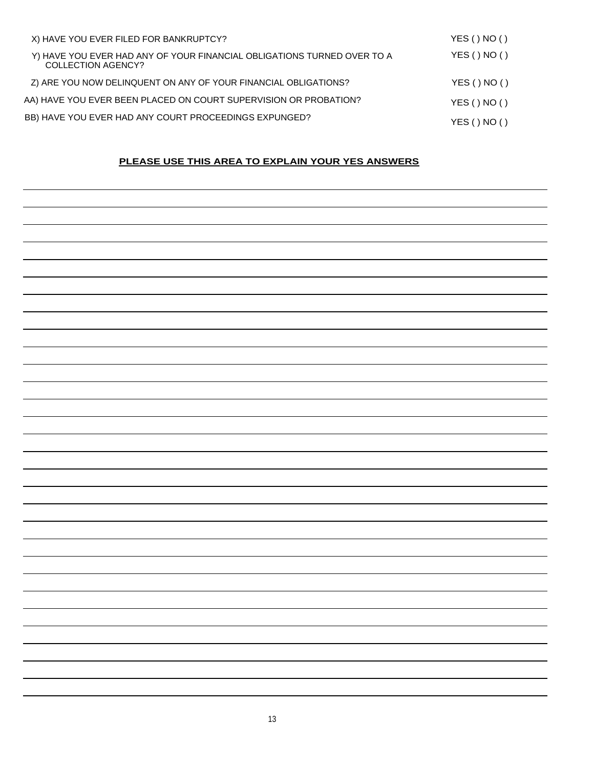| X) HAVE YOU EVER FILED FOR BANKRUPTCY?                                                        | YES()NO() |
|-----------------------------------------------------------------------------------------------|-----------|
| Y) HAVE YOU EVER HAD ANY OF YOUR FINANCIAL OBLIGATIONS TURNED OVER TO A<br>COLLECTION AGENCY? | YES()NO() |
| Z) ARE YOU NOW DELINQUENT ON ANY OF YOUR FINANCIAL OBLIGATIONS?                               | YES()NO() |
| AA) HAVE YOU EVER BEEN PLACED ON COURT SUPERVISION OR PROBATION?                              | YES()NO() |
| BB) HAVE YOU EVER HAD ANY COURT PROCEEDINGS EXPUNGED?                                         | YES()NO() |

## **PLEASE USE THIS AREA TO EXPLAIN YOUR YES ANSWERS**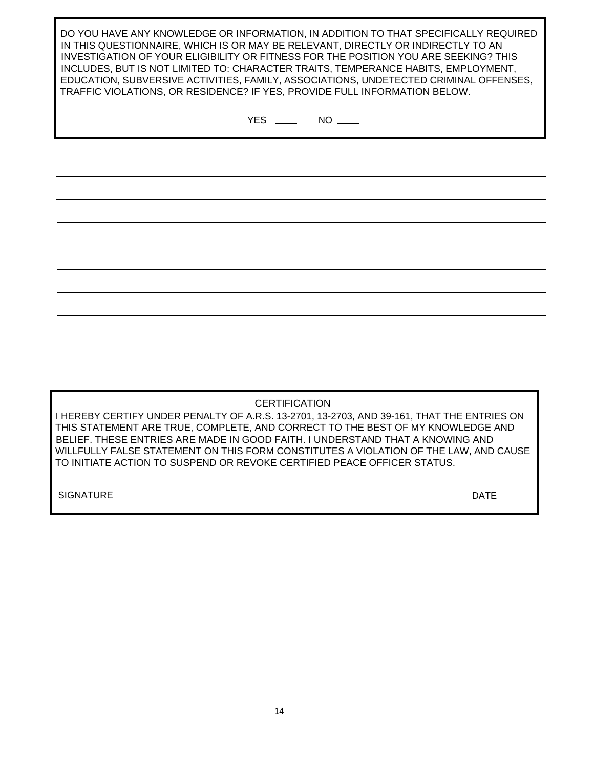DO YOU HAVE ANY KNOWLEDGE OR INFORMATION, IN ADDITION TO THAT SPECIFICALLY REQUIRED IN THIS QUESTIONNAIRE, WHICH IS OR MAY BE RELEVANT, DIRECTLY OR INDIRECTLY TO AN INVESTIGATION OF YOUR ELIGIBILITY OR FITNESS FOR THE POSITION YOU ARE SEEKING? THIS INCLUDES, BUT IS NOT LIMITED TO: CHARACTER TRAITS, TEMPERANCE HABITS, EMPLOYMENT, EDUCATION, SUBVERSIVE ACTIVITIES, FAMILY, ASSOCIATIONS, UNDETECTED CRIMINAL OFFENSES, TRAFFIC VIOLATIONS, OR RESIDENCE? IF YES, PROVIDE FULL INFORMATION BELOW.

 $YES$  NO  $\_\_\$ 

**CERTIFICATION** 

I HEREBY CERTIFY UNDER PENALTY OF A.R.S. 13-2701, 13-2703, AND 39-161, THAT THE ENTRIES ON THIS STATEMENT ARE TRUE, COMPLETE, AND CORRECT TO THE BEST OF MY KNOWLEDGE AND BELIEF. THESE ENTRIES ARE MADE IN GOOD FAITH. I UNDERSTAND THAT A KNOWING AND WILLFULLY FALSE STATEMENT ON THIS FORM CONSTITUTES A VIOLATION OF THE LAW, AND CAUSE TO INITIATE ACTION TO SUSPEND OR REVOKE CERTIFIED PEACE OFFICER STATUS.

SIGNATURE DATE DESCRIPTION OF PROPERTY AND LOCAL CONTRACTOR CONTRACTOR OF PROPERTY AND LOCAL CONTRACTOR OF DATE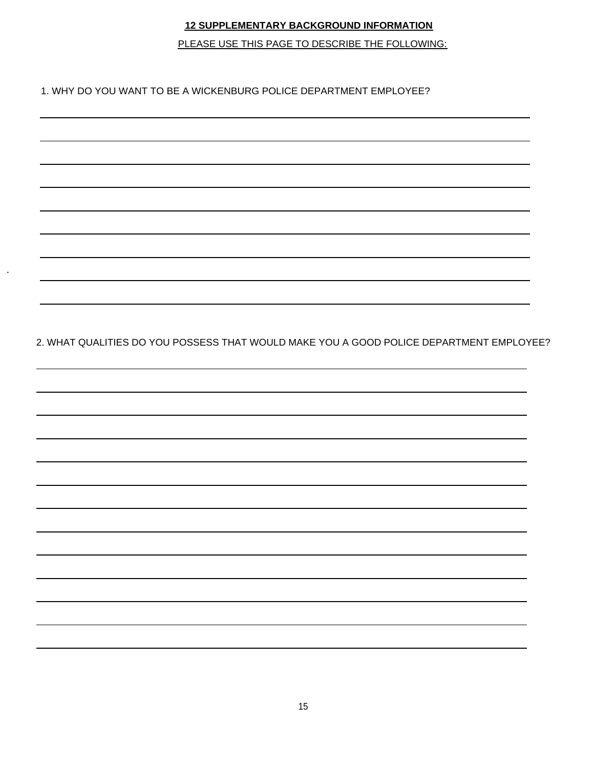## **12 SUPPLEMENTARY BACKGROUND INFORMATION**

PLEASE USE THIS PAGE TO DESCRIBE THE FOLLOWING:

1. WHY DO YOU WANT TO BE A WICKENBURG POLICE DEPARTMENT EMPLOYEE?

-

2. WHAT QUALITIES DO YOU POSSESS THAT WOULD MAKE YOU A GOOD POLICE DEPARTMENT EMPLOYEE?